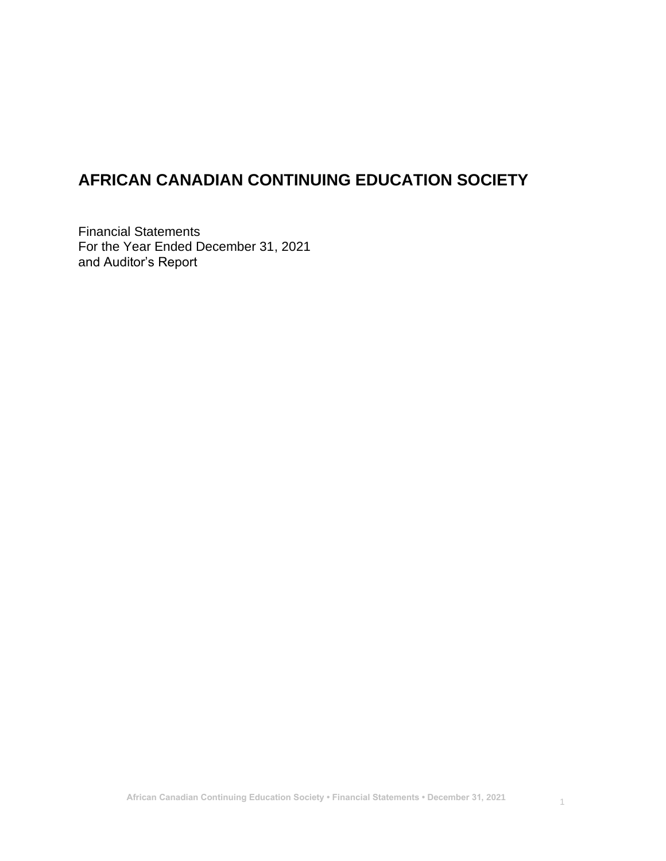Financial Statements For the Year Ended December 31, 2021 and Auditor's Report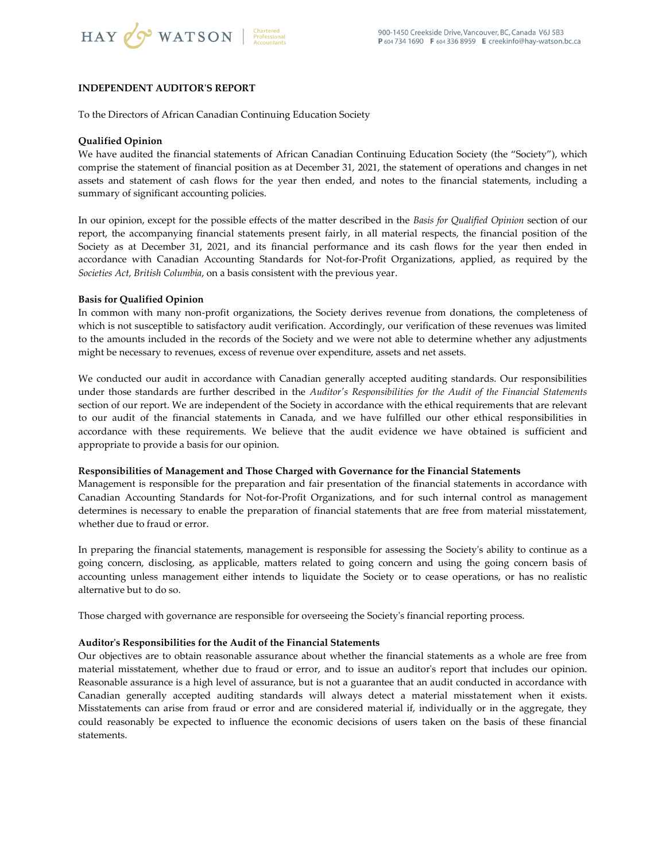

#### **INDEPENDENT AUDITOR'S REPORT**

To the Directors of African Canadian Continuing Education Society

#### **Qualified Opinion**

We have audited the financial statements of African Canadian Continuing Education Society (the "Society"), which comprise the statement of financial position as at December 31, 2021, the statement of operations and changes in net assets and statement of cash flows for the year then ended, and notes to the financial statements, including a summary of significant accounting policies.

In our opinion, except for the possible effects of the matter described in the *Basis for Qualified Opinion* section of our report, the accompanying financial statements present fairly, in all material respects, the financial position of the Society as at December 31, 2021, and its financial performance and its cash flows for the year then ended in accordance with Canadian Accounting Standards for Not-for-Profit Organizations, applied, as required by the *Societies Act, British Columbia*, on a basis consistent with the previous year.

#### **Basis for Qualified Opinion**

In common with many non-profit organizations, the Society derives revenue from donations, the completeness of which is not susceptible to satisfactory audit verification. Accordingly, our verification of these revenues was limited to the amounts included in the records of the Society and we were not able to determine whether any adjustments might be necessary to revenues, excess of revenue over expenditure, assets and net assets.

We conducted our audit in accordance with Canadian generally accepted auditing standards. Our responsibilities under those standards are further described in the *Auditor's Responsibilities for the Audit of the Financial Statements* section of our report. We are independent of the Society in accordance with the ethical requirements that are relevant to our audit of the financial statements in Canada, and we have fulfilled our other ethical responsibilities in accordance with these requirements. We believe that the audit evidence we have obtained is sufficient and appropriate to provide a basis for our opinion.

#### **Responsibilities of Management and Those Charged with Governance for the Financial Statements**

Management is responsible for the preparation and fair presentation of the financial statements in accordance with Canadian Accounting Standards for Not-for-Profit Organizations, and for such internal control as management determines is necessary to enable the preparation of financial statements that are free from material misstatement, whether due to fraud or error.

In preparing the financial statements, management is responsible for assessing the Society's ability to continue as a going concern, disclosing, as applicable, matters related to going concern and using the going concern basis of accounting unless management either intends to liquidate the Society or to cease operations, or has no realistic alternative but to do so.

Those charged with governance are responsible for overseeing the Society's financial reporting process.

#### **Auditor's Responsibilities for the Audit of the Financial Statements**

Our objectives are to obtain reasonable assurance about whether the financial statements as a whole are free from material misstatement, whether due to fraud or error, and to issue an auditor's report that includes our opinion. Reasonable assurance is a high level of assurance, but is not a guarantee that an audit conducted in accordance with Canadian generally accepted auditing standards will always detect a material misstatement when it exists. Misstatements can arise from fraud or error and are considered material if, individually or in the aggregate, they could reasonably be expected to influence the economic decisions of users taken on the basis of these financial statements.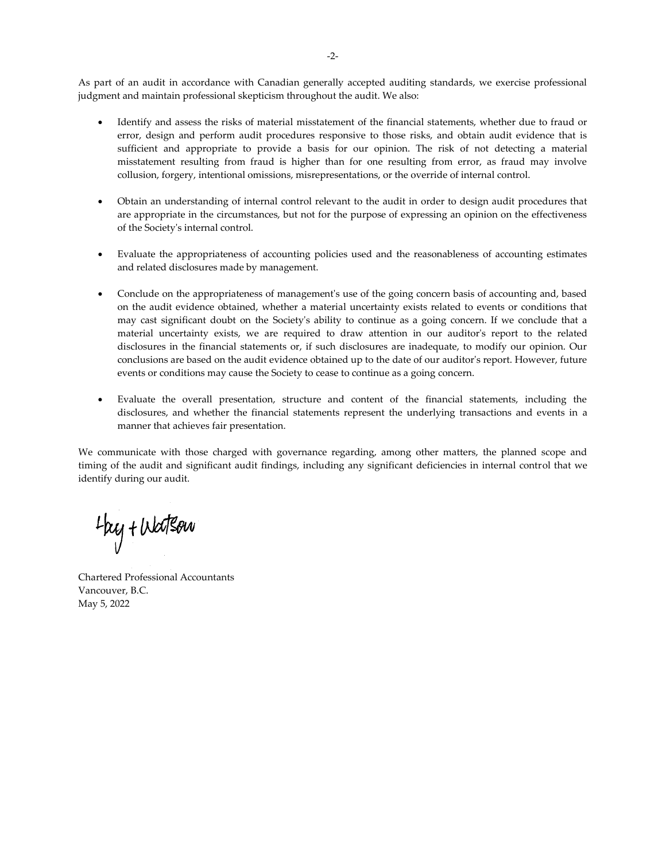As part of an audit in accordance with Canadian generally accepted auditing standards, we exercise professional judgment and maintain professional skepticism throughout the audit. We also:

- Identify and assess the risks of material misstatement of the financial statements, whether due to fraud or error, design and perform audit procedures responsive to those risks, and obtain audit evidence that is sufficient and appropriate to provide a basis for our opinion. The risk of not detecting a material misstatement resulting from fraud is higher than for one resulting from error, as fraud may involve collusion, forgery, intentional omissions, misrepresentations, or the override of internal control.
- Obtain an understanding of internal control relevant to the audit in order to design audit procedures that are appropriate in the circumstances, but not for the purpose of expressing an opinion on the effectiveness of the Society's internal control.
- Evaluate the appropriateness of accounting policies used and the reasonableness of accounting estimates and related disclosures made by management.
- Conclude on the appropriateness of management's use of the going concern basis of accounting and, based on the audit evidence obtained, whether a material uncertainty exists related to events or conditions that may cast significant doubt on the Society's ability to continue as a going concern. If we conclude that a material uncertainty exists, we are required to draw attention in our auditor's report to the related disclosures in the financial statements or, if such disclosures are inadequate, to modify our opinion. Our conclusions are based on the audit evidence obtained up to the date of our auditor's report. However, future events or conditions may cause the Society to cease to continue as a going concern.
- Evaluate the overall presentation, structure and content of the financial statements, including the disclosures, and whether the financial statements represent the underlying transactions and events in a manner that achieves fair presentation.

We communicate with those charged with governance regarding, among other matters, the planned scope and timing of the audit and significant audit findings, including any significant deficiencies in internal control that we identify during our audit.

Lay + Watson

Chartered Professional Accountants Vancouver, B.C. May 5, 2022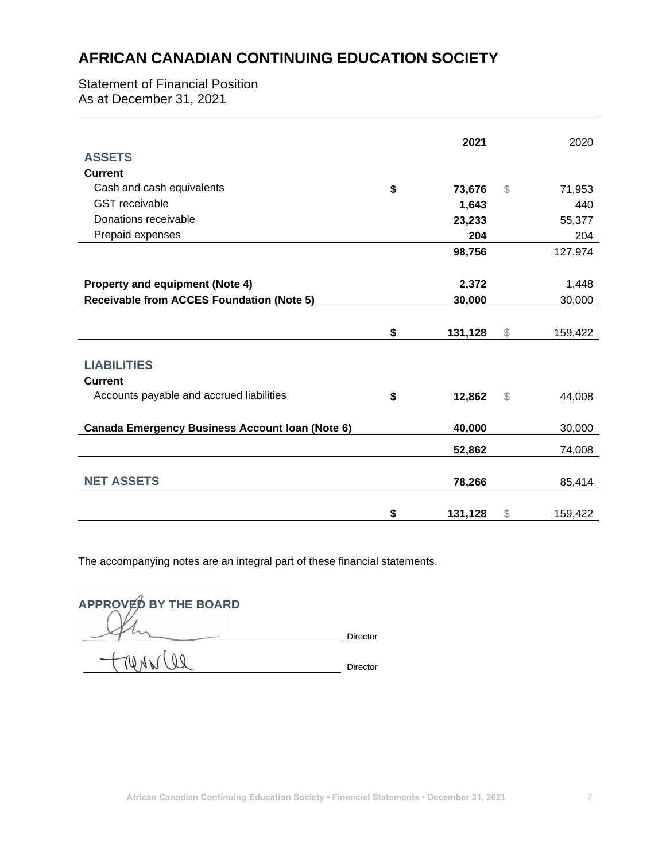Statement of Financial Position As at December 31, 2021

|                                                        | 2021          |               | 2020    |
|--------------------------------------------------------|---------------|---------------|---------|
| <b>ASSETS</b>                                          |               |               |         |
| <b>Current</b>                                         |               |               |         |
| Cash and cash equivalents                              | \$<br>73,676  | S.            | 71,953  |
| <b>GST</b> receivable                                  | 1,643         |               | 440     |
| Donations receivable                                   | 23,233        |               | 55,377  |
| Prepaid expenses                                       | 204           |               | 204     |
|                                                        | 98,756        |               | 127,974 |
|                                                        |               |               |         |
| <b>Property and equipment (Note 4)</b>                 | 2,372         |               | 1,448   |
| <b>Receivable from ACCES Foundation (Note 5)</b>       | 30,000        |               | 30,000  |
|                                                        |               |               |         |
|                                                        | \$<br>131,128 | $\mathcal{L}$ | 159,422 |
|                                                        |               |               |         |
| <b>LIABILITIES</b>                                     |               |               |         |
| <b>Current</b>                                         |               |               |         |
| Accounts payable and accrued liabilities               | \$<br>12,862  | S             | 44,008  |
|                                                        |               |               |         |
| <b>Canada Emergency Business Account Ioan (Note 6)</b> | 40,000        |               | 30,000  |
|                                                        | 52,862        |               | 74,008  |
|                                                        |               |               |         |
| <b>NET ASSETS</b>                                      | 78,266        |               | 85,414  |
|                                                        |               |               |         |
|                                                        | \$<br>131,128 | $\frac{1}{2}$ | 159,422 |

The accompanying notes are an integral part of these financial statements.

**APPROVED BY THE BOARD Director**<br>
Director FRANCIL Director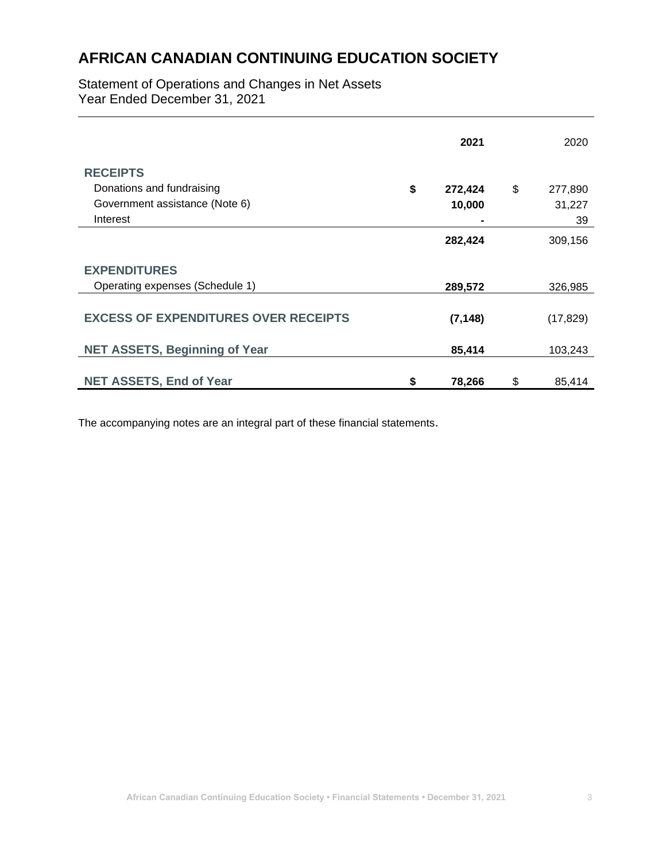Statement of Operations and Changes in Net Assets Year Ended December 31, 2021

|                                             | 2021          | 2020          |
|---------------------------------------------|---------------|---------------|
| <b>RECEIPTS</b>                             |               |               |
| Donations and fundraising                   | \$<br>272,424 | \$<br>277,890 |
| Government assistance (Note 6)              | 10,000        | 31,227        |
| Interest                                    |               | 39            |
|                                             | 282,424       | 309,156       |
| <b>EXPENDITURES</b>                         |               |               |
| Operating expenses (Schedule 1)             | 289,572       | 326,985       |
| <b>EXCESS OF EXPENDITURES OVER RECEIPTS</b> | (7, 148)      | (17, 829)     |
| <b>NET ASSETS, Beginning of Year</b>        | 85,414        | 103,243       |
| <b>NET ASSETS, End of Year</b>              | \$<br>78,266  | \$<br>85,414  |

The accompanying notes are an integral part of these financial statements.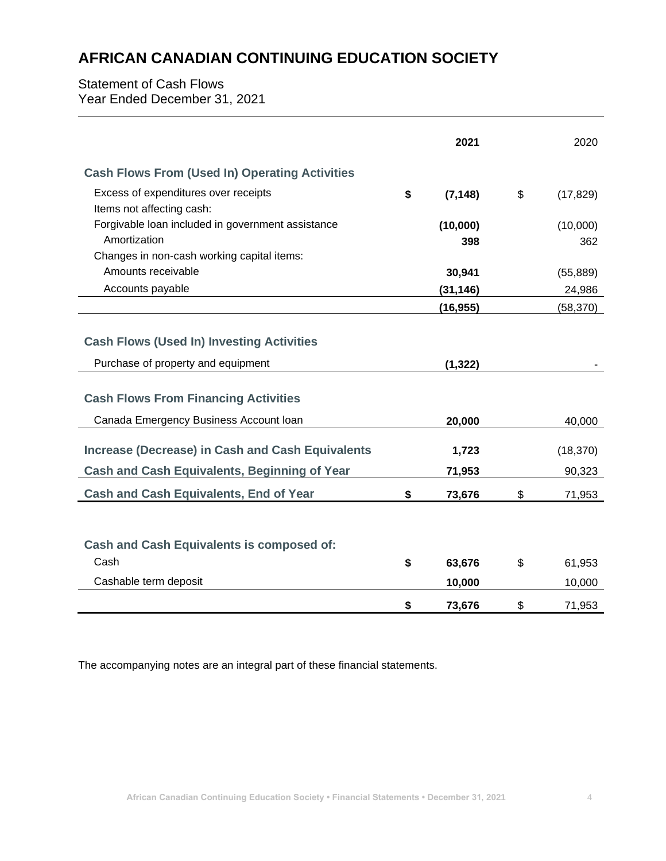Statement of Cash Flows Year Ended December 31, 2021

| <b>Cash Flows From (Used In) Operating Activities</b><br>Excess of expenditures over receipts<br>\$<br>(7, 148)<br>\$<br>(17, 829)<br>Items not affecting cash:<br>Forgivable loan included in government assistance<br>(10,000)<br>(10,000)<br>Amortization<br>398<br>362<br>Changes in non-cash working capital items:<br>Amounts receivable<br>30,941<br>(55, 889)<br>Accounts payable<br>(31, 146)<br>24,986<br>(16, 955)<br>(58, 370)<br><b>Cash Flows (Used In) Investing Activities</b><br>Purchase of property and equipment<br>(1, 322)<br><b>Cash Flows From Financing Activities</b><br>Canada Emergency Business Account Ioan<br>20,000<br>40,000<br><b>Increase (Decrease) in Cash and Cash Equivalents</b><br>1,723<br>(18, 370)<br><b>Cash and Cash Equivalents, Beginning of Year</b><br>71,953<br>90,323<br><b>Cash and Cash Equivalents, End of Year</b><br>\$<br>73,676<br>\$<br>71,953<br><b>Cash and Cash Equivalents is composed of:</b><br>Cash<br>\$<br>63,676<br>\$<br>61,953<br>Cashable term deposit<br>10,000<br>10,000<br>\$<br>\$<br>73,676<br>71,953 |  | 2021 | 2020 |
|-------------------------------------------------------------------------------------------------------------------------------------------------------------------------------------------------------------------------------------------------------------------------------------------------------------------------------------------------------------------------------------------------------------------------------------------------------------------------------------------------------------------------------------------------------------------------------------------------------------------------------------------------------------------------------------------------------------------------------------------------------------------------------------------------------------------------------------------------------------------------------------------------------------------------------------------------------------------------------------------------------------------------------------------------------------------------------------|--|------|------|
|                                                                                                                                                                                                                                                                                                                                                                                                                                                                                                                                                                                                                                                                                                                                                                                                                                                                                                                                                                                                                                                                                     |  |      |      |
|                                                                                                                                                                                                                                                                                                                                                                                                                                                                                                                                                                                                                                                                                                                                                                                                                                                                                                                                                                                                                                                                                     |  |      |      |
|                                                                                                                                                                                                                                                                                                                                                                                                                                                                                                                                                                                                                                                                                                                                                                                                                                                                                                                                                                                                                                                                                     |  |      |      |
|                                                                                                                                                                                                                                                                                                                                                                                                                                                                                                                                                                                                                                                                                                                                                                                                                                                                                                                                                                                                                                                                                     |  |      |      |
|                                                                                                                                                                                                                                                                                                                                                                                                                                                                                                                                                                                                                                                                                                                                                                                                                                                                                                                                                                                                                                                                                     |  |      |      |
|                                                                                                                                                                                                                                                                                                                                                                                                                                                                                                                                                                                                                                                                                                                                                                                                                                                                                                                                                                                                                                                                                     |  |      |      |
|                                                                                                                                                                                                                                                                                                                                                                                                                                                                                                                                                                                                                                                                                                                                                                                                                                                                                                                                                                                                                                                                                     |  |      |      |
|                                                                                                                                                                                                                                                                                                                                                                                                                                                                                                                                                                                                                                                                                                                                                                                                                                                                                                                                                                                                                                                                                     |  |      |      |
|                                                                                                                                                                                                                                                                                                                                                                                                                                                                                                                                                                                                                                                                                                                                                                                                                                                                                                                                                                                                                                                                                     |  |      |      |
|                                                                                                                                                                                                                                                                                                                                                                                                                                                                                                                                                                                                                                                                                                                                                                                                                                                                                                                                                                                                                                                                                     |  |      |      |
|                                                                                                                                                                                                                                                                                                                                                                                                                                                                                                                                                                                                                                                                                                                                                                                                                                                                                                                                                                                                                                                                                     |  |      |      |
|                                                                                                                                                                                                                                                                                                                                                                                                                                                                                                                                                                                                                                                                                                                                                                                                                                                                                                                                                                                                                                                                                     |  |      |      |
|                                                                                                                                                                                                                                                                                                                                                                                                                                                                                                                                                                                                                                                                                                                                                                                                                                                                                                                                                                                                                                                                                     |  |      |      |
|                                                                                                                                                                                                                                                                                                                                                                                                                                                                                                                                                                                                                                                                                                                                                                                                                                                                                                                                                                                                                                                                                     |  |      |      |
|                                                                                                                                                                                                                                                                                                                                                                                                                                                                                                                                                                                                                                                                                                                                                                                                                                                                                                                                                                                                                                                                                     |  |      |      |
|                                                                                                                                                                                                                                                                                                                                                                                                                                                                                                                                                                                                                                                                                                                                                                                                                                                                                                                                                                                                                                                                                     |  |      |      |
|                                                                                                                                                                                                                                                                                                                                                                                                                                                                                                                                                                                                                                                                                                                                                                                                                                                                                                                                                                                                                                                                                     |  |      |      |
|                                                                                                                                                                                                                                                                                                                                                                                                                                                                                                                                                                                                                                                                                                                                                                                                                                                                                                                                                                                                                                                                                     |  |      |      |
|                                                                                                                                                                                                                                                                                                                                                                                                                                                                                                                                                                                                                                                                                                                                                                                                                                                                                                                                                                                                                                                                                     |  |      |      |
|                                                                                                                                                                                                                                                                                                                                                                                                                                                                                                                                                                                                                                                                                                                                                                                                                                                                                                                                                                                                                                                                                     |  |      |      |
|                                                                                                                                                                                                                                                                                                                                                                                                                                                                                                                                                                                                                                                                                                                                                                                                                                                                                                                                                                                                                                                                                     |  |      |      |
|                                                                                                                                                                                                                                                                                                                                                                                                                                                                                                                                                                                                                                                                                                                                                                                                                                                                                                                                                                                                                                                                                     |  |      |      |
|                                                                                                                                                                                                                                                                                                                                                                                                                                                                                                                                                                                                                                                                                                                                                                                                                                                                                                                                                                                                                                                                                     |  |      |      |
|                                                                                                                                                                                                                                                                                                                                                                                                                                                                                                                                                                                                                                                                                                                                                                                                                                                                                                                                                                                                                                                                                     |  |      |      |

The accompanying notes are an integral part of these financial statements.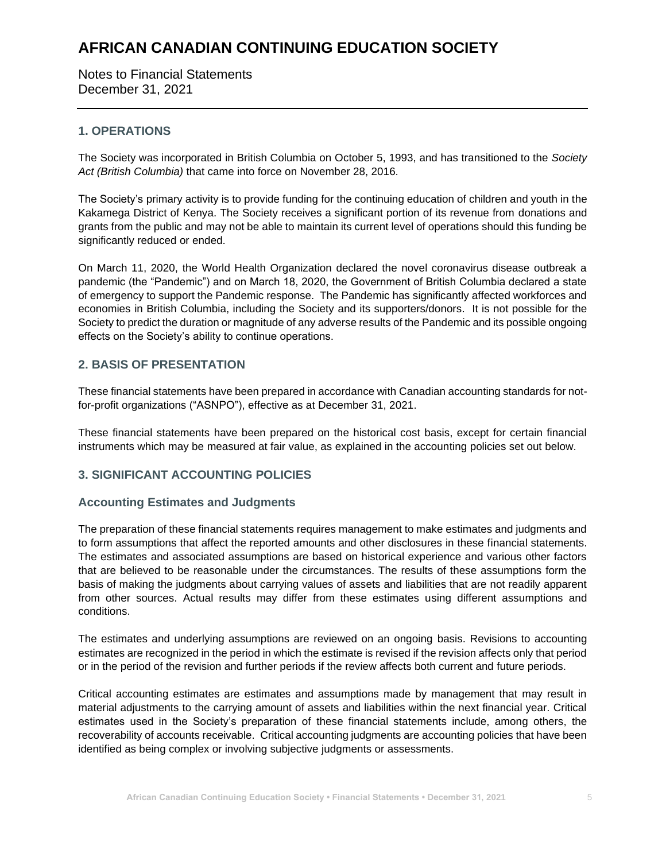Notes to Financial Statements December 31, 2021

### **1. OPERATIONS**

The Society was incorporated in British Columbia on October 5, 1993, and has transitioned to the *Society Act (British Columbia)* that came into force on November 28, 2016.

The Society's primary activity is to provide funding for the continuing education of children and youth in the Kakamega District of Kenya. The Society receives a significant portion of its revenue from donations and grants from the public and may not be able to maintain its current level of operations should this funding be significantly reduced or ended.

On March 11, 2020, the World Health Organization declared the novel coronavirus disease outbreak a pandemic (the "Pandemic") and on March 18, 2020, the Government of British Columbia declared a state of emergency to support the Pandemic response. The Pandemic has significantly affected workforces and economies in British Columbia, including the Society and its supporters/donors. It is not possible for the Society to predict the duration or magnitude of any adverse results of the Pandemic and its possible ongoing effects on the Society's ability to continue operations.

### **2. BASIS OF PRESENTATION**

These financial statements have been prepared in accordance with Canadian accounting standards for notfor-profit organizations ("ASNPO"), effective as at December 31, 2021.

These financial statements have been prepared on the historical cost basis, except for certain financial instruments which may be measured at fair value, as explained in the accounting policies set out below.

### **3. SIGNIFICANT ACCOUNTING POLICIES**

### **Accounting Estimates and Judgments**

The preparation of these financial statements requires management to make estimates and judgments and to form assumptions that affect the reported amounts and other disclosures in these financial statements. The estimates and associated assumptions are based on historical experience and various other factors that are believed to be reasonable under the circumstances. The results of these assumptions form the basis of making the judgments about carrying values of assets and liabilities that are not readily apparent from other sources. Actual results may differ from these estimates using different assumptions and conditions.

The estimates and underlying assumptions are reviewed on an ongoing basis. Revisions to accounting estimates are recognized in the period in which the estimate is revised if the revision affects only that period or in the period of the revision and further periods if the review affects both current and future periods.

Critical accounting estimates are estimates and assumptions made by management that may result in material adjustments to the carrying amount of assets and liabilities within the next financial year. Critical estimates used in the Society's preparation of these financial statements include, among others, the recoverability of accounts receivable. Critical accounting judgments are accounting policies that have been identified as being complex or involving subjective judgments or assessments.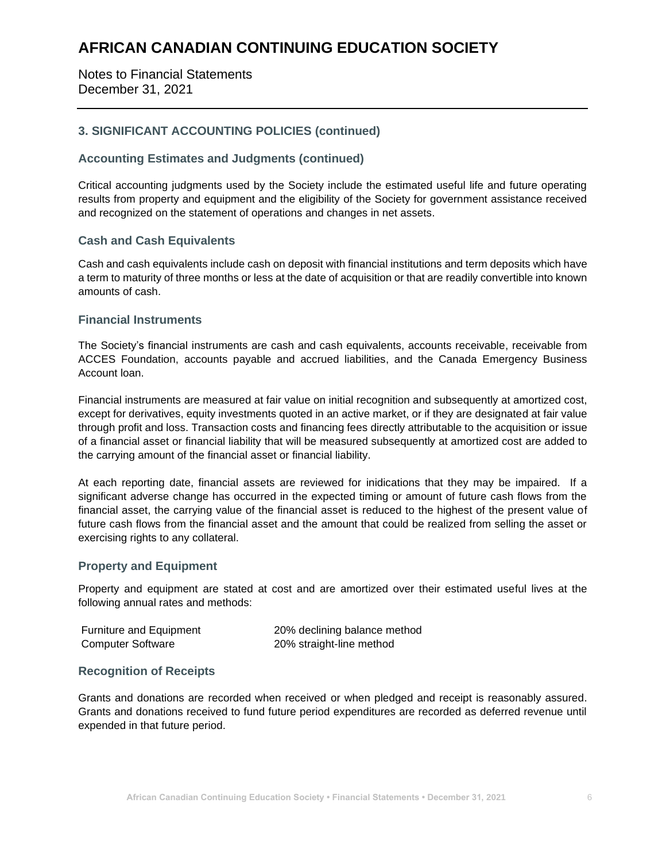Notes to Financial Statements December 31, 2021

## **3. SIGNIFICANT ACCOUNTING POLICIES (continued)**

### **Accounting Estimates and Judgments (continued)**

Critical accounting judgments used by the Society include the estimated useful life and future operating results from property and equipment and the eligibility of the Society for government assistance received and recognized on the statement of operations and changes in net assets.

### **Cash and Cash Equivalents**

Cash and cash equivalents include cash on deposit with financial institutions and term deposits which have a term to maturity of three months or less at the date of acquisition or that are readily convertible into known amounts of cash.

### **Financial Instruments**

The Society's financial instruments are cash and cash equivalents, accounts receivable, receivable from ACCES Foundation, accounts payable and accrued liabilities, and the Canada Emergency Business Account loan.

Financial instruments are measured at fair value on initial recognition and subsequently at amortized cost, except for derivatives, equity investments quoted in an active market, or if they are designated at fair value through profit and loss. Transaction costs and financing fees directly attributable to the acquisition or issue of a financial asset or financial liability that will be measured subsequently at amortized cost are added to the carrying amount of the financial asset or financial liability.

At each reporting date, financial assets are reviewed for inidications that they may be impaired. If a significant adverse change has occurred in the expected timing or amount of future cash flows from the financial asset, the carrying value of the financial asset is reduced to the highest of the present value of future cash flows from the financial asset and the amount that could be realized from selling the asset or exercising rights to any collateral.

### **Property and Equipment**

Property and equipment are stated at cost and are amortized over their estimated useful lives at the following annual rates and methods:

| Furniture and Equipment  | 20% declining balance method |
|--------------------------|------------------------------|
| <b>Computer Software</b> | 20% straight-line method     |

### **Recognition of Receipts**

Grants and donations are recorded when received or when pledged and receipt is reasonably assured. Grants and donations received to fund future period expenditures are recorded as deferred revenue until expended in that future period.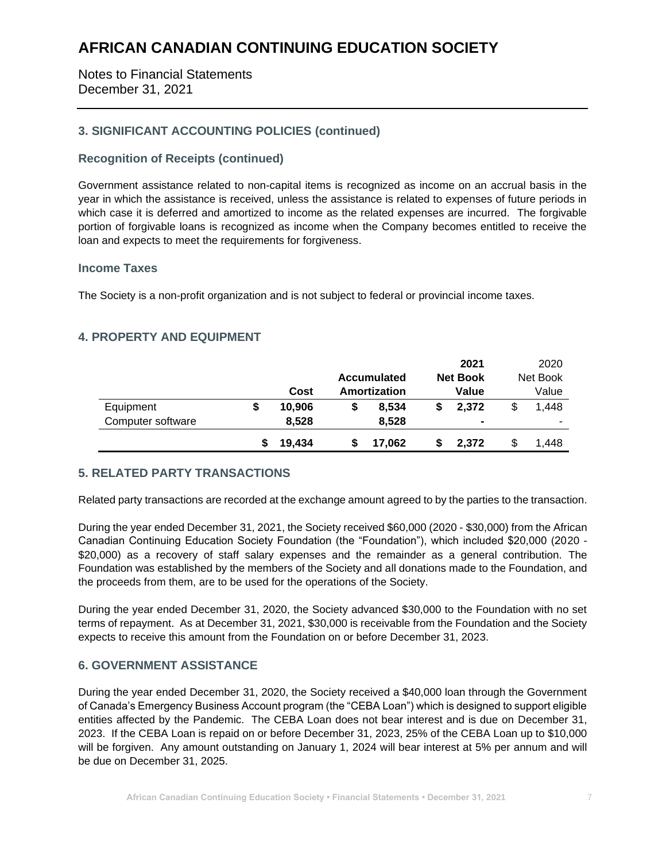Notes to Financial Statements December 31, 2021

## **3. SIGNIFICANT ACCOUNTING POLICIES (continued)**

### **Recognition of Receipts (continued)**

Government assistance related to non-capital items is recognized as income on an accrual basis in the year in which the assistance is received, unless the assistance is related to expenses of future periods in which case it is deferred and amortized to income as the related expenses are incurred. The forgivable portion of forgivable loans is recognized as income when the Company becomes entitled to receive the loan and expects to meet the requirements for forgiveness.

### **Income Taxes**

The Society is a non-profit organization and is not subject to federal or provincial income taxes.

### **4. PROPERTY AND EQUIPMENT**

|                   |        |                    |   | 2021            | 2020     |
|-------------------|--------|--------------------|---|-----------------|----------|
|                   |        | <b>Accumulated</b> |   | <b>Net Book</b> | Net Book |
|                   | Cost   | Amortization       |   | Value           | Value    |
| Equipment         | 10,906 | 8.534              | S | 2.372           | 1,448    |
| Computer software | 8,528  | 8,528              |   | $\blacksquare$  |          |
|                   | 19,434 | 17,062             | S | 2.372           | 1.448    |

### **5. RELATED PARTY TRANSACTIONS**

Related party transactions are recorded at the exchange amount agreed to by the parties to the transaction.

During the year ended December 31, 2021, the Society received \$60,000 (2020 - \$30,000) from the African Canadian Continuing Education Society Foundation (the "Foundation"), which included \$20,000 (2020 - \$20,000) as a recovery of staff salary expenses and the remainder as a general contribution. The Foundation was established by the members of the Society and all donations made to the Foundation, and the proceeds from them, are to be used for the operations of the Society.

During the year ended December 31, 2020, the Society advanced \$30,000 to the Foundation with no set terms of repayment. As at December 31, 2021, \$30,000 is receivable from the Foundation and the Society expects to receive this amount from the Foundation on or before December 31, 2023.

### **6. GOVERNMENT ASSISTANCE**

During the year ended December 31, 2020, the Society received a \$40,000 loan through the Government of Canada's Emergency Business Account program (the "CEBA Loan") which is designed to support eligible entities affected by the Pandemic. The CEBA Loan does not bear interest and is due on December 31, 2023. If the CEBA Loan is repaid on or before December 31, 2023, 25% of the CEBA Loan up to \$10,000 will be forgiven. Any amount outstanding on January 1, 2024 will bear interest at 5% per annum and will be due on December 31, 2025.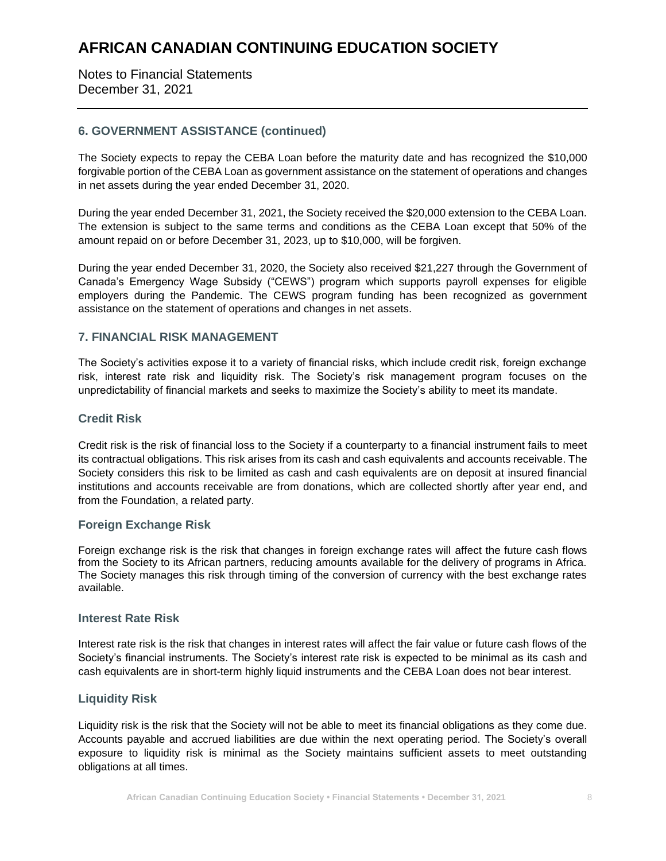Notes to Financial Statements December 31, 2021

### **6. GOVERNMENT ASSISTANCE (continued)**

The Society expects to repay the CEBA Loan before the maturity date and has recognized the \$10,000 forgivable portion of the CEBA Loan as government assistance on the statement of operations and changes in net assets during the year ended December 31, 2020.

During the year ended December 31, 2021, the Society received the \$20,000 extension to the CEBA Loan. The extension is subject to the same terms and conditions as the CEBA Loan except that 50% of the amount repaid on or before December 31, 2023, up to \$10,000, will be forgiven.

During the year ended December 31, 2020, the Society also received \$21,227 through the Government of Canada's Emergency Wage Subsidy ("CEWS") program which supports payroll expenses for eligible employers during the Pandemic. The CEWS program funding has been recognized as government assistance on the statement of operations and changes in net assets.

### **7. FINANCIAL RISK MANAGEMENT**

The Society's activities expose it to a variety of financial risks, which include credit risk, foreign exchange risk, interest rate risk and liquidity risk. The Society's risk management program focuses on the unpredictability of financial markets and seeks to maximize the Society's ability to meet its mandate.

### **Credit Risk**

Credit risk is the risk of financial loss to the Society if a counterparty to a financial instrument fails to meet its contractual obligations. This risk arises from its cash and cash equivalents and accounts receivable. The Society considers this risk to be limited as cash and cash equivalents are on deposit at insured financial institutions and accounts receivable are from donations, which are collected shortly after year end, and from the Foundation, a related party.

### **Foreign Exchange Risk**

Foreign exchange risk is the risk that changes in foreign exchange rates will affect the future cash flows from the Society to its African partners, reducing amounts available for the delivery of programs in Africa. The Society manages this risk through timing of the conversion of currency with the best exchange rates available.

#### **Interest Rate Risk**

Interest rate risk is the risk that changes in interest rates will affect the fair value or future cash flows of the Society's financial instruments. The Society's interest rate risk is expected to be minimal as its cash and cash equivalents are in short-term highly liquid instruments and the CEBA Loan does not bear interest.

### **Liquidity Risk**

Liquidity risk is the risk that the Society will not be able to meet its financial obligations as they come due. Accounts payable and accrued liabilities are due within the next operating period. The Society's overall exposure to liquidity risk is minimal as the Society maintains sufficient assets to meet outstanding obligations at all times.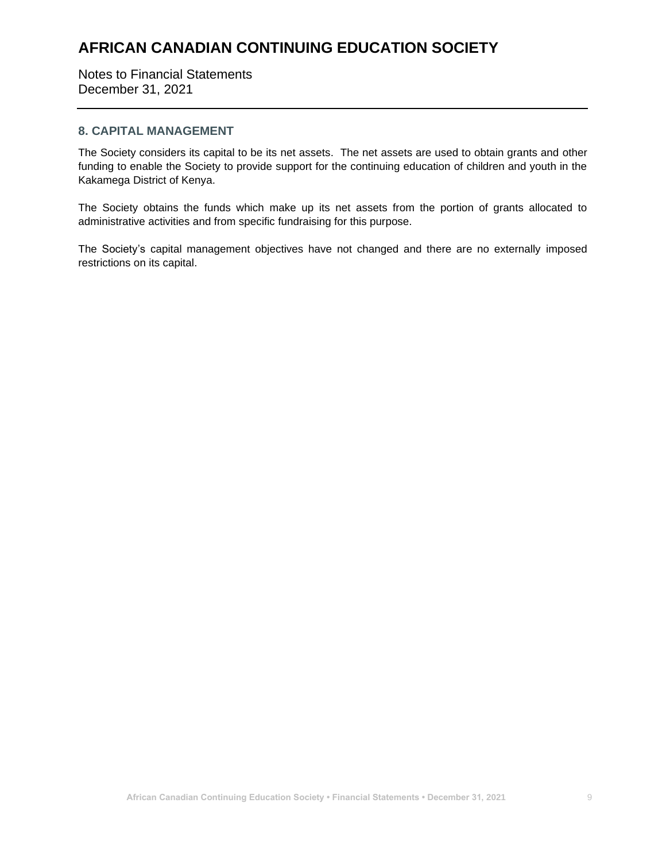Notes to Financial Statements December 31, 2021

### **8. CAPITAL MANAGEMENT**

The Society considers its capital to be its net assets. The net assets are used to obtain grants and other funding to enable the Society to provide support for the continuing education of children and youth in the Kakamega District of Kenya.

The Society obtains the funds which make up its net assets from the portion of grants allocated to administrative activities and from specific fundraising for this purpose.

The Society's capital management objectives have not changed and there are no externally imposed restrictions on its capital.